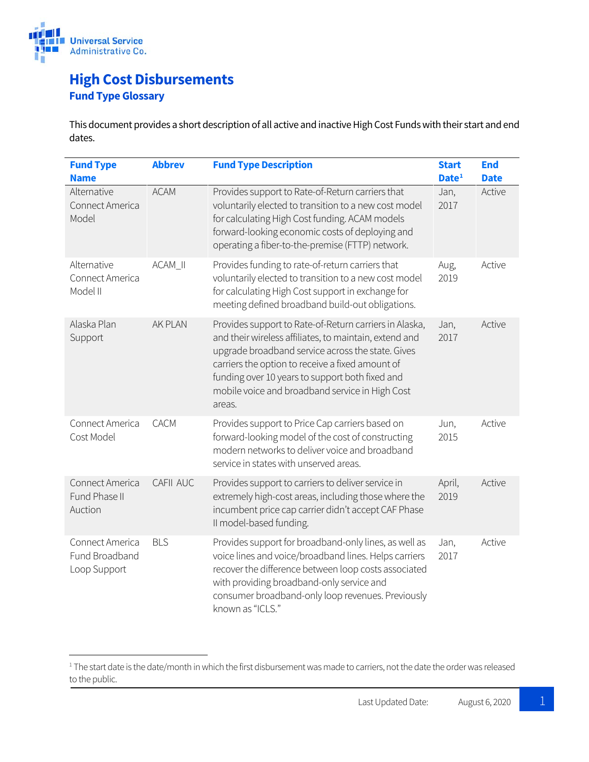

## **High Cost Disbursements Fund Type Glossary**

This document provides a short description of all active and inactive High Cost Funds with their start and end dates.

| <b>Fund Type</b><br><b>Name</b>                   | <b>Abbrev</b>  | <b>Fund Type Description</b>                                                                                                                                                                                                                                                                                                              | <b>Start</b><br>Date <sup>1</sup> | <b>End</b><br><b>Date</b> |
|---------------------------------------------------|----------------|-------------------------------------------------------------------------------------------------------------------------------------------------------------------------------------------------------------------------------------------------------------------------------------------------------------------------------------------|-----------------------------------|---------------------------|
| Alternative<br>Connect America<br>Model           | <b>ACAM</b>    | Provides support to Rate-of-Return carriers that<br>voluntarily elected to transition to a new cost model<br>for calculating High Cost funding. ACAM models<br>forward-looking economic costs of deploying and<br>operating a fiber-to-the-premise (FTTP) network.                                                                        | Jan,<br>2017                      | Active                    |
| Alternative<br>Connect America<br>Model II        | ACAM_II        | Provides funding to rate-of-return carriers that<br>voluntarily elected to transition to a new cost model<br>for calculating High Cost support in exchange for<br>meeting defined broadband build-out obligations.                                                                                                                        | Aug,<br>2019                      | Active                    |
| Alaska Plan<br>Support                            | <b>AK PLAN</b> | Provides support to Rate-of-Return carriers in Alaska,<br>and their wireless affiliates, to maintain, extend and<br>upgrade broadband service across the state. Gives<br>carriers the option to receive a fixed amount of<br>funding over 10 years to support both fixed and<br>mobile voice and broadband service in High Cost<br>areas. | Jan,<br>2017                      | Active                    |
| Connect America<br>Cost Model                     | <b>CACM</b>    | Provides support to Price Cap carriers based on<br>forward-looking model of the cost of constructing<br>modern networks to deliver voice and broadband<br>service in states with unserved areas.                                                                                                                                          | Jun,<br>2015                      | Active                    |
| Connect America<br>Fund Phase II<br>Auction       | CAFII AUC      | Provides support to carriers to deliver service in<br>extremely high-cost areas, including those where the<br>incumbent price cap carrier didn't accept CAF Phase<br>II model-based funding.                                                                                                                                              | April,<br>2019                    | Active                    |
| Connect America<br>Fund Broadband<br>Loop Support | <b>BLS</b>     | Provides support for broadband-only lines, as well as<br>voice lines and voice/broadband lines. Helps carriers<br>recover the difference between loop costs associated<br>with providing broadband-only service and<br>consumer broadband-only loop revenues. Previously<br>known as "ICLS."                                              | Jan,<br>2017                      | Active                    |

<span id="page-0-0"></span><sup>&</sup>lt;sup>1</sup> The start date is the date/month in which the first disbursement was made to carriers, not the date the order was released to the public.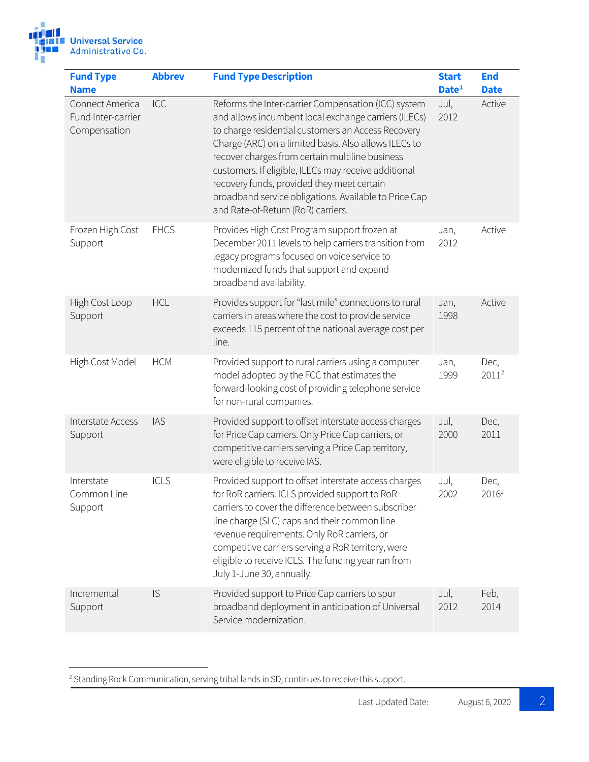

<span id="page-1-0"></span>

| <b>Fund Type</b>                                      | <b>Abbrev</b> | <b>Fund Type Description</b>                                                                                                                                                                                                                                                                                                                                                                                                                                                       | <b>Start</b>      | <b>End</b>                |
|-------------------------------------------------------|---------------|------------------------------------------------------------------------------------------------------------------------------------------------------------------------------------------------------------------------------------------------------------------------------------------------------------------------------------------------------------------------------------------------------------------------------------------------------------------------------------|-------------------|---------------------------|
| <b>Name</b>                                           |               |                                                                                                                                                                                                                                                                                                                                                                                                                                                                                    | Date <sup>1</sup> | <b>Date</b>               |
| Connect America<br>Fund Inter-carrier<br>Compensation | ICC           | Reforms the Inter-carrier Compensation (ICC) system<br>and allows incumbent local exchange carriers (ILECs)<br>to charge residential customers an Access Recovery<br>Charge (ARC) on a limited basis. Also allows ILECs to<br>recover charges from certain multiline business<br>customers. If eligible, ILECs may receive additional<br>recovery funds, provided they meet certain<br>broadband service obligations. Available to Price Cap<br>and Rate-of-Return (RoR) carriers. | Jul,<br>2012      | Active                    |
| Frozen High Cost<br>Support                           | <b>FHCS</b>   | Provides High Cost Program support frozen at<br>December 2011 levels to help carriers transition from<br>legacy programs focused on voice service to<br>modernized funds that support and expand<br>broadband availability.                                                                                                                                                                                                                                                        | Jan,<br>2012      | Active                    |
| High Cost Loop<br>Support                             | <b>HCL</b>    | Provides support for "last mile" connections to rural<br>carriers in areas where the cost to provide service<br>exceeds 115 percent of the national average cost per<br>line.                                                                                                                                                                                                                                                                                                      | Jan,<br>1998      | Active                    |
| High Cost Model                                       | <b>HCM</b>    | Provided support to rural carriers using a computer<br>model adopted by the FCC that estimates the<br>forward-looking cost of providing telephone service<br>for non-rural companies.                                                                                                                                                                                                                                                                                              | Jan,<br>1999      | Dec,<br>$2011^2$          |
| Interstate Access<br>Support                          | <b>IAS</b>    | Provided support to offset interstate access charges<br>for Price Cap carriers. Only Price Cap carriers, or<br>competitive carriers serving a Price Cap territory,<br>were eligible to receive IAS.                                                                                                                                                                                                                                                                                | Jul,<br>2000      | Dec,<br>2011              |
| Interstate<br>Common Line<br>Support                  | ICLS          | Provided support to offset interstate access charges<br>for RoR carriers. ICLS provided support to RoR<br>carriers to cover the difference between subscriber<br>line charge (SLC) caps and their common line<br>revenue requirements. Only RoR carriers, or<br>competitive carriers serving a RoR territory, were<br>eligible to receive ICLS. The funding year ran from<br>July 1-June 30, annually.                                                                             | Jul,<br>2002      | Dec,<br>2016 <sup>2</sup> |
| Incremental<br>Support                                | IS            | Provided support to Price Cap carriers to spur<br>broadband deployment in anticipation of Universal<br>Service modernization.                                                                                                                                                                                                                                                                                                                                                      | Jul,<br>2012      | Feb,<br>2014              |

<span id="page-1-1"></span>2 Standing Rock Communication, serving tribal lands in SD, continues to receive this support.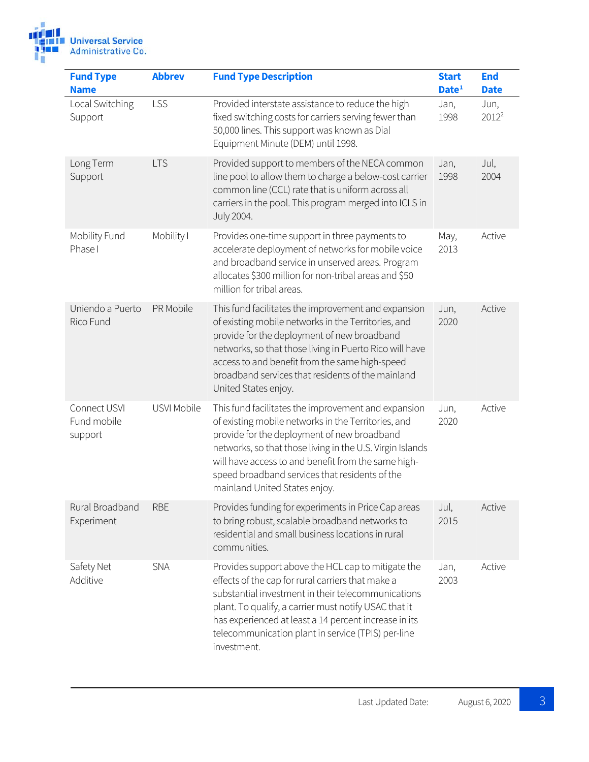

| <b>Fund Type</b><br><b>Name</b>        | <b>Abbrev</b> | <b>Fund Type Description</b>                                                                                                                                                                                                                                                                                                                                     | <b>Start</b><br>Date <sup>1</sup> | <b>End</b><br><b>Date</b> |
|----------------------------------------|---------------|------------------------------------------------------------------------------------------------------------------------------------------------------------------------------------------------------------------------------------------------------------------------------------------------------------------------------------------------------------------|-----------------------------------|---------------------------|
| Local Switching<br>Support             | LSS           | Provided interstate assistance to reduce the high<br>fixed switching costs for carriers serving fewer than<br>50,000 lines. This support was known as Dial<br>Equipment Minute (DEM) until 1998.                                                                                                                                                                 | Jan,<br>1998                      | Jun,<br>$2012^2$          |
| Long Term<br>Support                   | <b>LTS</b>    | Provided support to members of the NECA common<br>line pool to allow them to charge a below-cost carrier<br>common line (CCL) rate that is uniform across all<br>carriers in the pool. This program merged into ICLS in<br><b>July 2004.</b>                                                                                                                     | Jan,<br>1998                      | Jul,<br>2004              |
| Mobility Fund<br>Phase I               | Mobility I    | Provides one-time support in three payments to<br>accelerate deployment of networks for mobile voice<br>and broadband service in unserved areas. Program<br>allocates \$300 million for non-tribal areas and \$50<br>million for tribal areas.                                                                                                                   | May,<br>2013                      | Active                    |
| Uniendo a Puerto<br>Rico Fund          | PR Mobile     | This fund facilitates the improvement and expansion<br>of existing mobile networks in the Territories, and<br>provide for the deployment of new broadband<br>networks, so that those living in Puerto Rico will have<br>access to and benefit from the same high-speed<br>broadband services that residents of the mainland<br>United States enjoy.              | Jun,<br>2020                      | Active                    |
| Connect USVI<br>Fund mobile<br>support | USVI Mobile   | This fund facilitates the improvement and expansion<br>of existing mobile networks in the Territories, and<br>provide for the deployment of new broadband<br>networks, so that those living in the U.S. Virgin Islands<br>will have access to and benefit from the same high-<br>speed broadband services that residents of the<br>mainland United States enjoy. | Jun,<br>2020                      | Active                    |
| Rural Broadband<br>Experiment          | <b>RBE</b>    | Provides funding for experiments in Price Cap areas<br>to bring robust, scalable broadband networks to<br>residential and small business locations in rural<br>communities.                                                                                                                                                                                      | Jul,<br>2015                      | Active                    |
| Safety Net<br>Additive                 | <b>SNA</b>    | Provides support above the HCL cap to mitigate the<br>effects of the cap for rural carriers that make a<br>substantial investment in their telecommunications<br>plant. To qualify, a carrier must notify USAC that it<br>has experienced at least a 14 percent increase in its<br>telecommunication plant in service (TPIS) per-line<br>investment.             | Jan,<br>2003                      | Active                    |